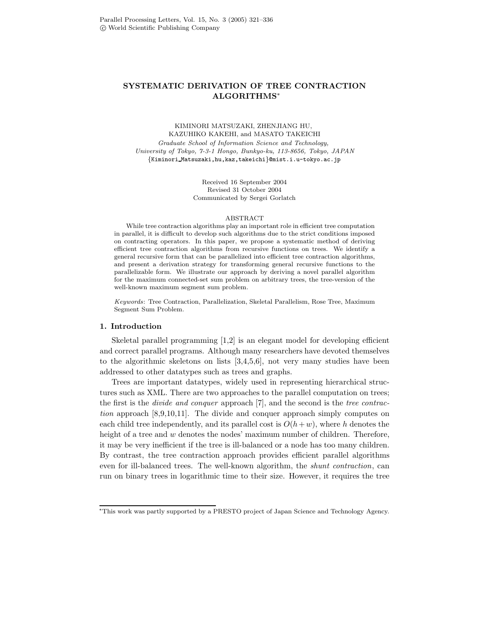# SYSTEMATIC DERIVATION OF TREE CONTRACTION ALGORITHMS<sup>∗</sup>

# KIMINORI MATSUZAKI, ZHENJIANG HU, KAZUHIKO KAKEHI, and MASATO TAKEICHI

Graduate School of Information Science and Technology, University of Tokyo, 7-3-1 Hongo, Bunkyo-ku, 113-8656, Tokyo, JAPAN {Kiminori Matsuzaki,hu,kaz,takeichi}@mist.i.u-tokyo.ac.jp

> Received 16 September 2004 Revised 31 October 2004 Communicated by Sergei Gorlatch

#### ABSTRACT

While tree contraction algorithms play an important role in efficient tree computation in parallel, it is difficult to develop such algorithms due to the strict conditions imposed on contracting operators. In this paper, we propose a systematic method of deriving efficient tree contraction algorithms from recursive functions on trees. We identify a general recursive form that can be parallelized into efficient tree contraction algorithms, and present a derivation strategy for transforming general recursive functions to the parallelizable form. We illustrate our approach by deriving a novel parallel algorithm for the maximum connected-set sum problem on arbitrary trees, the tree-version of the well-known maximum segment sum problem.

Keywords: Tree Contraction, Parallelization, Skeletal Parallelism, Rose Tree, Maximum Segment Sum Problem.

# 1. Introduction

Skeletal parallel programming [1,2] is an elegant model for developing efficient and correct parallel programs. Although many researchers have devoted themselves to the algorithmic skeletons on lists [3,4,5,6], not very many studies have been addressed to other datatypes such as trees and graphs.

Trees are important datatypes, widely used in representing hierarchical structures such as XML. There are two approaches to the parallel computation on trees; the first is the divide and conquer approach [7], and the second is the tree contraction approach [8,9,10,11]. The divide and conquer approach simply computes on each child tree independently, and its parallel cost is  $O(h+w)$ , where h denotes the height of a tree and w denotes the nodes' maximum number of children. Therefore, it may be very inefficient if the tree is ill-balanced or a node has too many children. By contrast, the tree contraction approach provides efficient parallel algorithms even for ill-balanced trees. The well-known algorithm, the shunt contraction, can run on binary trees in logarithmic time to their size. However, it requires the tree

<sup>∗</sup>This work was partly supported by a PRESTO project of Japan Science and Technology Agency.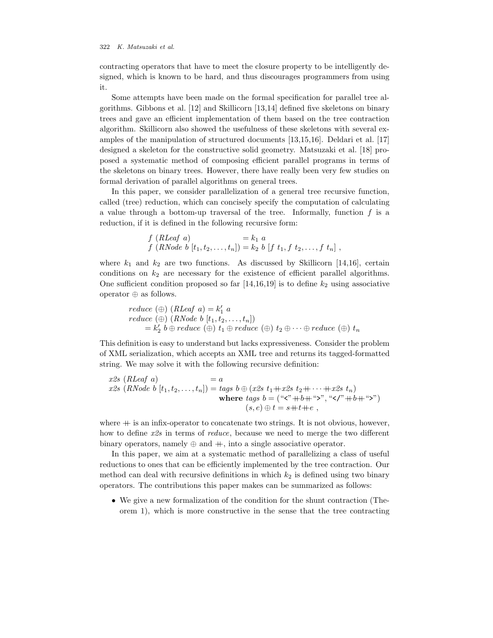contracting operators that have to meet the closure property to be intelligently designed, which is known to be hard, and thus discourages programmers from using it.

Some attempts have been made on the formal specification for parallel tree algorithms. Gibbons et al. [12] and Skillicorn [13,14] defined five skeletons on binary trees and gave an efficient implementation of them based on the tree contraction algorithm. Skillicorn also showed the usefulness of these skeletons with several examples of the manipulation of structured documents [13,15,16]. Deldari et al. [17] designed a skeleton for the constructive solid geometry. Matsuzaki et al. [18] proposed a systematic method of composing efficient parallel programs in terms of the skeletons on binary trees. However, there have really been very few studies on formal derivation of parallel algorithms on general trees.

In this paper, we consider parallelization of a general tree recursive function, called (tree) reduction, which can concisely specify the computation of calculating a value through a bottom-up traversal of the tree. Informally, function  $f$  is a reduction, if it is defined in the following recursive form:

$$
f(RLeaf\ a) = k_1\ a\nf(RNode\ b[t_1, t_2, ..., t_n]) = k_2\ b\ [f\ t_1, f\ t_2, ..., f\ t_n],
$$

where  $k_1$  and  $k_2$  are two functions. As discussed by Skillicorn [14,16], certain conditions on  $k_2$  are necessary for the existence of efficient parallel algorithms. One sufficient condition proposed so far [14,16,19] is to define  $k_2$  using associative operator ⊕ as follows.

$$
reduce (\oplus) (RLeaf a) = k'_1 a
$$
  
reduce (\oplus) (RNode b [t<sub>1</sub>, t<sub>2</sub>,...,t<sub>n</sub>])  
= k'\_2 b \oplus reduce (\oplus) t\_1 \oplus reduce (\oplus) t\_2 \oplus \cdots \oplus reduce (\oplus) t\_n

This definition is easy to understand but lacks expressiveness. Consider the problem of XML serialization, which accepts an XML tree and returns its tagged-formatted string. We may solve it with the following recursive definition:

$$
x2s \ (RLeaf \ a) = a
$$
  
\n
$$
x2s \ (RNode \ b \ [t_1, t_2, \dots, t_n]) = tags \ b \oplus (x2s \ t_1 + x2s \ t_2 + \dots + x2s \ t_n)
$$
  
\nwhere  $tags \ b = ("s" + b + "s", "s" + b + "s")$   
\n
$$
(s, e) \oplus t = s + t + e,
$$

where  $+$  is an infix-operator to concatenate two strings. It is not obvious, however, how to define x2s in terms of reduce, because we need to merge the two different binary operators, namely  $\oplus$  and  $+$ , into a single associative operator.

In this paper, we aim at a systematic method of parallelizing a class of useful reductions to ones that can be efficiently implemented by the tree contraction. Our method can deal with recursive definitions in which  $k_2$  is defined using two binary operators. The contributions this paper makes can be summarized as follows:

• We give a new formalization of the condition for the shunt contraction (Theorem 1), which is more constructive in the sense that the tree contracting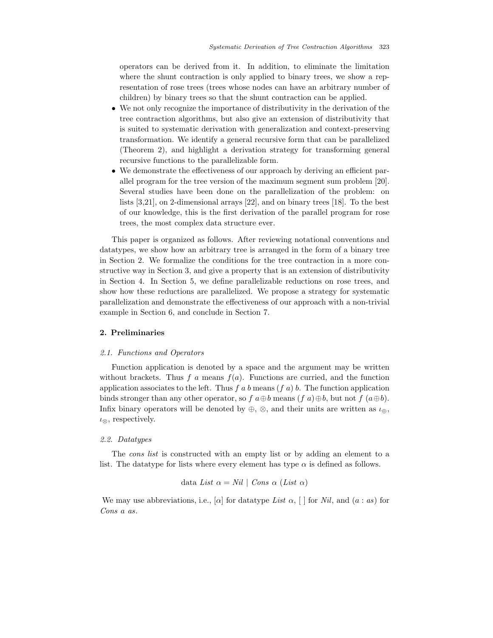operators can be derived from it. In addition, to eliminate the limitation where the shunt contraction is only applied to binary trees, we show a representation of rose trees (trees whose nodes can have an arbitrary number of children) by binary trees so that the shunt contraction can be applied.

- We not only recognize the importance of distributivity in the derivation of the tree contraction algorithms, but also give an extension of distributivity that is suited to systematic derivation with generalization and context-preserving transformation. We identify a general recursive form that can be parallelized (Theorem 2), and highlight a derivation strategy for transforming general recursive functions to the parallelizable form.
- We demonstrate the effectiveness of our approach by deriving an efficient parallel program for the tree version of the maximum segment sum problem [20]. Several studies have been done on the parallelization of the problem: on lists [3,21], on 2-dimensional arrays [22], and on binary trees [18]. To the best of our knowledge, this is the first derivation of the parallel program for rose trees, the most complex data structure ever.

This paper is organized as follows. After reviewing notational conventions and datatypes, we show how an arbitrary tree is arranged in the form of a binary tree in Section 2. We formalize the conditions for the tree contraction in a more constructive way in Section 3, and give a property that is an extension of distributivity in Section 4. In Section 5, we define parallelizable reductions on rose trees, and show how these reductions are parallelized. We propose a strategy for systematic parallelization and demonstrate the effectiveness of our approach with a non-trivial example in Section 6, and conclude in Section 7.

# 2. Preliminaries

#### 2.1. Functions and Operators

Function application is denoted by a space and the argument may be written without brackets. Thus f a means  $f(a)$ . Functions are curried, and the function application associates to the left. Thus f a b means  $(f \, a)$  b. The function application binds stronger than any other operator, so f  $a \oplus b$  means  $(f a) \oplus b$ , but not  $f (a \oplus b)$ . Infix binary operators will be denoted by  $\oplus$ ,  $\otimes$ , and their units are written as  $\iota_{\oplus}$ ,  $\iota_{\otimes}$ , respectively.

# 2.2. Datatypes

The cons list is constructed with an empty list or by adding an element to a list. The datatype for lists where every element has type  $\alpha$  is defined as follows.

data *List* 
$$
\alpha = Nil \mid Cons \alpha (List \alpha)
$$

We may use abbreviations, i.e., [ $\alpha$ ] for datatype List  $\alpha$ , [] for Nil, and  $(a : as)$  for Cons a as.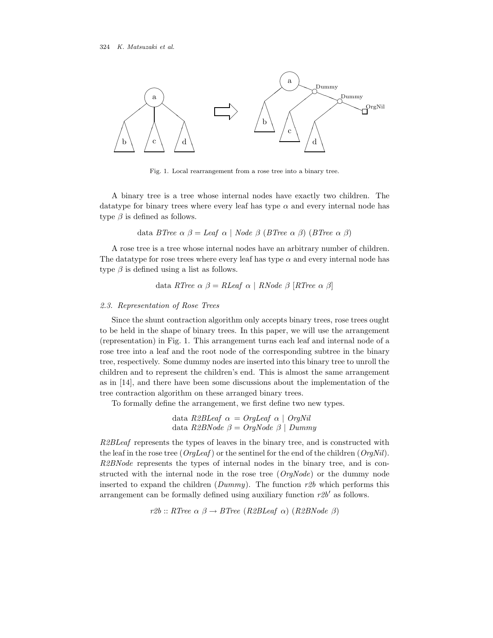

Fig. 1. Local rearrangement from a rose tree into a binary tree.

A binary tree is a tree whose internal nodes have exactly two children. The datatype for binary trees where every leaf has type  $\alpha$  and every internal node has type  $\beta$  is defined as follows.

data BTree  $\alpha \beta =$  Leaf  $\alpha \beta$  Node  $\beta$  (BTree  $\alpha \beta$ ) (BTree  $\alpha \beta$ )

A rose tree is a tree whose internal nodes have an arbitrary number of children. The datatype for rose trees where every leaf has type  $\alpha$  and every internal node has type  $\beta$  is defined using a list as follows.

data RTree 
$$
\alpha \beta = RLeaf \alpha \mid RNode \beta [RTree \alpha \beta]
$$

# 2.3. Representation of Rose Trees

Since the shunt contraction algorithm only accepts binary trees, rose trees ought to be held in the shape of binary trees. In this paper, we will use the arrangement (representation) in Fig. 1. This arrangement turns each leaf and internal node of a rose tree into a leaf and the root node of the corresponding subtree in the binary tree, respectively. Some dummy nodes are inserted into this binary tree to unroll the children and to represent the children's end. This is almost the same arrangement as in [14], and there have been some discussions about the implementation of the tree contraction algorithm on these arranged binary trees.

To formally define the arrangement, we first define two new types.

data R2BLeaf 
$$
\alpha = \text{OrgLeaf } \alpha \mid \text{OrgNil}
$$
  
data R2BNode  $\beta = \text{OrgNode } \beta \mid \text{Dummy}$ 

R2BLeaf represents the types of leaves in the binary tree, and is constructed with the leaf in the rose tree ( $O\eta$ Leaf) or the sentinel for the end of the children ( $O\eta$ Nil). R2BNode represents the types of internal nodes in the binary tree, and is constructed with the internal node in the rose tree  $(\textit{OrqNode})$  or the dummy node inserted to expand the children ( $Dummy$ ). The function r2b which performs this arrangement can be formally defined using auxiliary function  $r2b'$  as follows.

r2b :: RTree  $\alpha \beta \rightarrow B$ Tree (R2BLeaf  $\alpha$ ) (R2BNode  $\beta$ )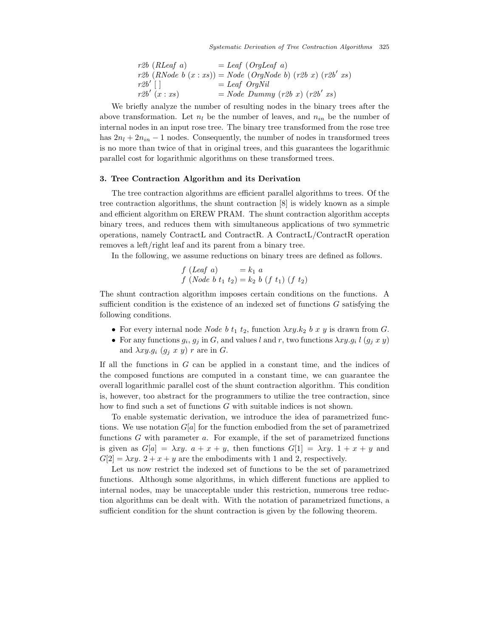Systematic Derivation of Tree Contraction Algorithms 325

| $r2b$ (RLeaf a)                                               | =Leaf (OrgLeaf a)              |
|---------------------------------------------------------------|--------------------------------|
| $r2b$ (RNode b (x : xs)) = Node (OrgNode b) (r2b x) (r2b' xs) |                                |
| $r2b'$ []                                                     | =Leaf OrgNil                   |
| $r2b'$ (x : xs)                                               | = Node Dummy (r2b x) (r2b' xs) |

We briefly analyze the number of resulting nodes in the binary trees after the above transformation. Let  $n_l$  be the number of leaves, and  $n_{in}$  be the number of internal nodes in an input rose tree. The binary tree transformed from the rose tree has  $2n_l + 2n_{in} - 1$  nodes. Consequently, the number of nodes in transformed trees is no more than twice of that in original trees, and this guarantees the logarithmic parallel cost for logarithmic algorithms on these transformed trees.

# 3. Tree Contraction Algorithm and its Derivation

The tree contraction algorithms are efficient parallel algorithms to trees. Of the tree contraction algorithms, the shunt contraction [8] is widely known as a simple and efficient algorithm on EREW PRAM. The shunt contraction algorithm accepts binary trees, and reduces them with simultaneous applications of two symmetric operations, namely ContractL and ContractR. A ContractL/ContractR operation removes a left/right leaf and its parent from a binary tree.

In the following, we assume reductions on binary trees are defined as follows.

$$
f (Leaf \ a) = k_1 \ a
$$
  

$$
f (Node \ b \ t_1 \ t_2) = k_2 \ b \ (f \ t_1) \ (f \ t_2)
$$

The shunt contraction algorithm imposes certain conditions on the functions. A sufficient condition is the existence of an indexed set of functions  $G$  satisfying the following conditions.

- For every internal node Node b  $t_1$   $t_2$ , function  $\lambda xy.k_2$  b x y is drawn from G.
- For any functions  $g_i$ ,  $g_j$  in G, and values l and r, two functions  $\lambda xy. g_i$  l  $(g_j x y)$ and  $\lambda xy. g_i$   $(g_j x y) r$  are in G.

If all the functions in  $G$  can be applied in a constant time, and the indices of the composed functions are computed in a constant time, we can guarantee the overall logarithmic parallel cost of the shunt contraction algorithm. This condition is, however, too abstract for the programmers to utilize the tree contraction, since how to find such a set of functions G with suitable indices is not shown.

To enable systematic derivation, we introduce the idea of parametrized functions. We use notation  $G[a]$  for the function embodied from the set of parametrized functions  $G$  with parameter  $a$ . For example, if the set of parametrized functions is given as  $G[a] = \lambda xy$ .  $a + x + y$ , then functions  $G[1] = \lambda xy$ .  $1 + x + y$  and  $G[2] = \lambda xy$ .  $2 + x + y$  are the embodiments with 1 and 2, respectively.

Let us now restrict the indexed set of functions to be the set of parametrized functions. Although some algorithms, in which different functions are applied to internal nodes, may be unacceptable under this restriction, numerous tree reduction algorithms can be dealt with. With the notation of parametrized functions, a sufficient condition for the shunt contraction is given by the following theorem.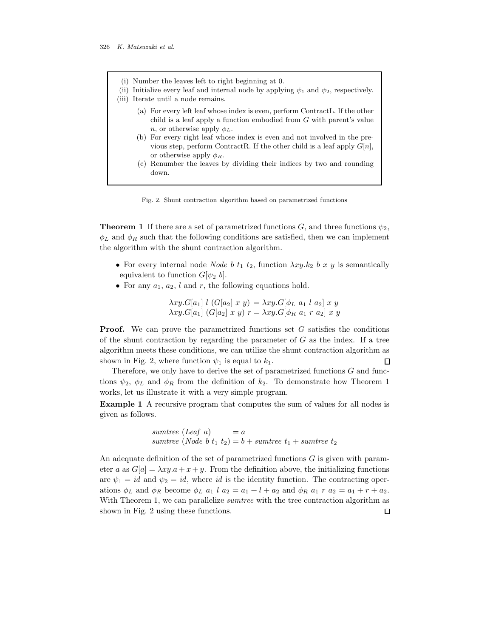- (i) Number the leaves left to right beginning at 0.
- (ii) Initialize every leaf and internal node by applying  $\psi_1$  and  $\psi_2$ , respectively.
- (iii) Iterate until a node remains.
	- (a) For every left leaf whose index is even, perform ContractL. If the other child is a leaf apply a function embodied from G with parent's value *n*, or otherwise apply  $\phi_L$ .
	- (b) For every right leaf whose index is even and not involved in the previous step, perform ContractR. If the other child is a leaf apply  $G[n]$ , or otherwise apply  $\phi_R$ .
	- (c) Renumber the leaves by dividing their indices by two and rounding down.

Fig. 2. Shunt contraction algorithm based on parametrized functions

**Theorem 1** If there are a set of parametrized functions  $G$ , and three functions  $\psi_2$ ,  $\phi_L$  and  $\phi_R$  such that the following conditions are satisfied, then we can implement the algorithm with the shunt contraction algorithm.

- For every internal node Node b  $t_1$   $t_2$ , function  $\lambda xy.k_2$  b x y is semantically equivalent to function  $G[\psi_2, b]$ .
- For any  $a_1, a_2, l$  and r, the following equations hold.

$$
\lambda xy.G[a_1] l (G[a_2] x y) = \lambda xy.G[\phi_L a_1 l a_2] x y \lambda xy.G[a_1] (G[a_2] x y) r = \lambda xy.G[\phi_R a_1 r a_2] x y
$$

**Proof.** We can prove the parametrized functions set G satisfies the conditions of the shunt contraction by regarding the parameter of  $G$  as the index. If a tree algorithm meets these conditions, we can utilize the shunt contraction algorithm as shown in Fig. 2, where function  $\psi_1$  is equal to  $k_1$ .  $\Box$ 

Therefore, we only have to derive the set of parametrized functions  $G$  and functions  $\psi_2$ ,  $\phi_L$  and  $\phi_R$  from the definition of  $k_2$ . To demonstrate how Theorem 1 works, let us illustrate it with a very simple program.

Example 1 A recursive program that computes the sum of values for all nodes is given as follows.

> sumtree (Leaf a)  $= a$ sumtree (Node b  $t_1$   $t_2$ ) = b + sumtree  $t_1$  + sumtree  $t_2$

An adequate definition of the set of parametrized functions G is given with parameter a as  $G[a] = \lambda xy.a + x + y$ . From the definition above, the initializing functions are  $\psi_1 = id$  and  $\psi_2 = id$ , where id is the identity function. The contracting operations  $\phi_L$  and  $\phi_R$  become  $\phi_L$   $a_1$  l  $a_2 = a_1 + l + a_2$  and  $\phi_R$   $a_1$  r  $a_2 = a_1 + r + a_2$ . With Theorem 1, we can parallelize *sumtree* with the tree contraction algorithm as shown in Fig. 2 using these functions. $\Box$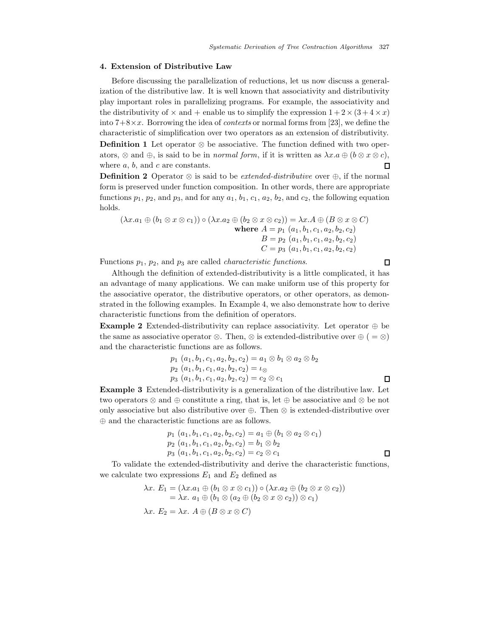# 4. Extension of Distributive Law

Before discussing the parallelization of reductions, let us now discuss a generalization of the distributive law. It is well known that associativity and distributivity play important roles in parallelizing programs. For example, the associativity and the distributivity of  $\times$  and  $+$  enable us to simplify the expression  $1+2\times(3+4\times x)$ into  $7+8\times x$ . Borrowing the idea of *contexts* or normal forms from [23], we define the characteristic of simplification over two operators as an extension of distributivity. **Definition 1** Let operator  $\otimes$  be associative. The function defined with two operators,  $\otimes$  and  $\oplus$ , is said to be in *normal form*, if it is written as  $\lambda x.a \oplus (b \otimes x \otimes c)$ , where  $a, b$ , and  $c$  are constants.  $\mathsf{\Pi}$ 

**Definition 2** Operator  $\otimes$  is said to be *extended-distributive* over  $\oplus$ , if the normal form is preserved under function composition. In other words, there are appropriate functions  $p_1$ ,  $p_2$ , and  $p_3$ , and for any  $a_1$ ,  $b_1$ ,  $c_1$ ,  $a_2$ ,  $b_2$ , and  $c_2$ , the following equation holds.

$$
(\lambda x. a_1 \oplus (b_1 \otimes x \otimes c_1)) \circ (\lambda x. a_2 \oplus (b_2 \otimes x \otimes c_2)) = \lambda x. A \oplus (B \otimes x \otimes C)
$$
  
where  $A = p_1$   $(a_1, b_1, c_1, a_2, b_2, c_2)$   
 $B = p_2$   $(a_1, b_1, c_1, a_2, b_2, c_2)$   
 $C = p_3$   $(a_1, b_1, c_1, a_2, b_2, c_2)$ 

Functions  $p_1$ ,  $p_2$ , and  $p_3$  are called *characteristic functions*.

 $\Box$ 

Although the definition of extended-distributivity is a little complicated, it has an advantage of many applications. We can make uniform use of this property for the associative operator, the distributive operators, or other operators, as demonstrated in the following examples. In Example 4, we also demonstrate how to derive characteristic functions from the definition of operators.

**Example 2** Extended-distributivity can replace associativity. Let operator  $\oplus$  be the same as associative operator  $\otimes$ . Then,  $\otimes$  is extended-distributive over  $\oplus$  ( =  $\otimes$ ) and the characteristic functions are as follows.

$$
p_1 (a_1, b_1, c_1, a_2, b_2, c_2) = a_1 \otimes b_1 \otimes a_2 \otimes b_2
$$
  
\n
$$
p_2 (a_1, b_1, c_1, a_2, b_2, c_2) = \iota_{\otimes}
$$
  
\n
$$
p_3 (a_1, b_1, c_1, a_2, b_2, c_2) = c_2 \otimes c_1
$$

Example 3 Extended-distributivity is a generalization of the distributive law. Let two operators ⊗ and ⊕ constitute a ring, that is, let ⊕ be associative and ⊗ be not only associative but also distributive over  $\oplus$ . Then ⊗ is extended-distributive over ⊕ and the characteristic functions are as follows.

$$
p_1 (a_1, b_1, c_1, a_2, b_2, c_2) = a_1 \oplus (b_1 \otimes a_2 \otimes c_1)
$$
  
\n
$$
p_2 (a_1, b_1, c_1, a_2, b_2, c_2) = b_1 \otimes b_2
$$
  
\n
$$
p_3 (a_1, b_1, c_1, a_2, b_2, c_2) = c_2 \otimes c_1
$$

To validate the extended-distributivity and derive the characteristic functions, we calculate two expressions  $E_1$  and  $E_2$  defined as

$$
\lambda x. E_1 = (\lambda x. a_1 \oplus (b_1 \otimes x \otimes c_1)) \circ (\lambda x. a_2 \oplus (b_2 \otimes x \otimes c_2))
$$
  
=  $\lambda x. a_1 \oplus (b_1 \otimes (a_2 \oplus (b_2 \otimes x \otimes c_2)) \otimes c_1)$   

$$
\lambda x. E_2 = \lambda x. A \oplus (B \otimes x \otimes C)
$$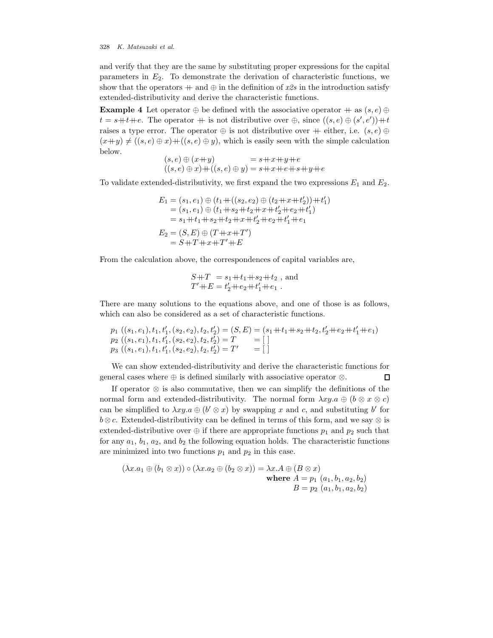and verify that they are the same by substituting proper expressions for the capital parameters in  $E_2$ . To demonstrate the derivation of characteristic functions, we show that the operators  $+$  and  $\oplus$  in the definition of x2s in the introduction satisfy extended-distributivity and derive the characteristic functions.

Example 4 Let operator  $\oplus$  be defined with the associative operator  $+$  as  $(s, e) \oplus$  $t = s+t+e$ . The operator  $+$  is not distributive over  $\oplus$ , since  $((s, e) \oplus (s', e'))+t$ raises a type error. The operator  $\oplus$  is not distributive over  $+$  either, i.e.  $(s, e) \oplus$  $(x+y) \neq ((s, e) \oplus x) + ((s, e) \oplus y)$ , which is easily seen with the simple calculation below.

$$
(s, e) \oplus (x+y) = s+x+y+e
$$
  

$$
((s, e) \oplus x) + ((s, e) \oplus y) = s+x+e+s+y+e
$$

To validate extended-distributivity, we first expand the two expressions  $E_1$  and  $E_2$ .

$$
E_1 = (s_1, e_1) \oplus (t_1 + ((s_2, e_2) \oplus (t_2 + x + t'_2)) + t'_1)
$$
  
= (s\_1, e\_1) \oplus (t\_1 + s\_2 + t\_2 + x + t'\_2 + t\_2 + t'\_1)  
= s\_1 + t\_1 + s\_2 + t\_2 + x + t'\_2 + t\_2 + t'\_1 + t\_1  

$$
E_2 = (S, E) \oplus (T + x + T')
$$
  
= S + T + x + T' + E

From the calculation above, the correspondences of capital variables are,

$$
S+T = s_1+t_1+s_2+t_2 , \text{ and}
$$
  
 
$$
T'+E = t'_2+e_2+t'_1+e_1 .
$$

There are many solutions to the equations above, and one of those is as follows, which can also be considered as a set of characteristic functions.

$$
p_1 ((s_1, e_1), t_1, t'_1, (s_2, e_2), t_2, t'_2) = (S, E) = (s_1 + t_1 + s_2 + t_2, t'_2 + e_2 + t'_1 + e_1)
$$
  
\n
$$
p_2 ((s_1, e_1), t_1, t'_1, (s_2, e_2), t_2, t'_2) = T = []
$$
  
\n
$$
p_3 ((s_1, e_1), t_1, t'_1, (s_2, e_2), t_2, t'_2) = T' = []
$$

We can show extended-distributivity and derive the characteristic functions for general cases where  $\oplus$  is defined similarly with associative operator  $\otimes$ .  $\Box$ 

If operator ⊗ is also commutative, then we can simplify the definitions of the normal form and extended-distributivity. The normal form  $\lambda xy.a \oplus (b \otimes x \otimes c)$ can be simplified to  $\lambda xy.a \oplus (b' \otimes x)$  by swapping x and c, and substituting b' for  $b \otimes c$ . Extended-distributivity can be defined in terms of this form, and we say  $\otimes$  is extended-distributive over  $\oplus$  if there are appropriate functions  $p_1$  and  $p_2$  such that for any  $a_1$ ,  $b_1$ ,  $a_2$ , and  $b_2$  the following equation holds. The characteristic functions are minimized into two functions  $p_1$  and  $p_2$  in this case.

$$
(\lambda x.a_1 \oplus (b_1 \otimes x)) \circ (\lambda x.a_2 \oplus (b_2 \otimes x)) = \lambda x.A \oplus (B \otimes x)
$$
  
where  $A = p_1$  ( $a_1, b_1, a_2, b_2$ )  
 $B = p_2$  ( $a_1, b_1, a_2, b_2$ )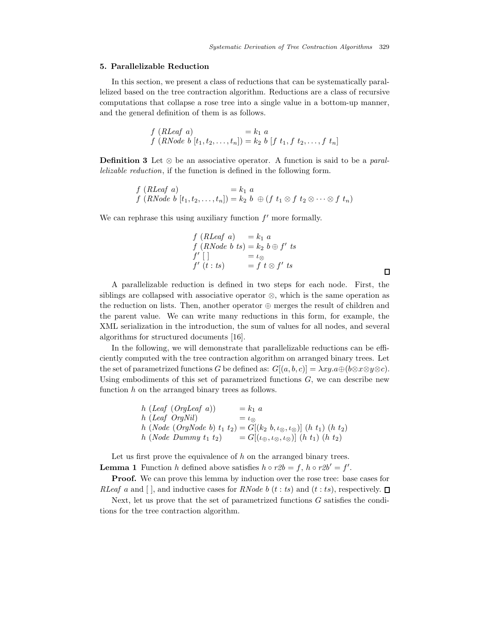# 5. Parallelizable Reduction

In this section, we present a class of reductions that can be systematically parallelized based on the tree contraction algorithm. Reductions are a class of recursive computations that collapse a rose tree into a single value in a bottom-up manner, and the general definition of them is as follows.

$$
f(RLeaf \ a) = k_1 \ a \nf(RNode \ b \ [t_1, t_2, \ldots, t_n]) = k_2 \ b \ [f \ t_1, f \ t_2, \ldots, f \ t_n]
$$

**Definition 3** Let  $\otimes$  be an associative operator. A function is said to be a *paral*lelizable reduction, if the function is defined in the following form.

$$
f(RLeaf\ a) = k_1\ a
$$
  

$$
f(RNode\ b[t_1, t_2, \dots, t_n]) = k_2\ b\ \oplus (f\ t_1 \otimes f\ t_2 \otimes \dots \otimes f\ t_n)
$$

We can rephrase this using auxiliary function  $f'$  more formally.

$$
f(RLeaf \ a) = k_1 \ a
$$
  
\n
$$
f(RNode \ b \ ts) = k_2 \ b \oplus f' \ ts
$$
  
\n
$$
f' [] = \iota_{\otimes}
$$
  
\n
$$
f' (t : ts) = f t \otimes f' \ ts
$$

 $\Box$ 

A parallelizable reduction is defined in two steps for each node. First, the siblings are collapsed with associative operator ⊗, which is the same operation as the reduction on lists. Then, another operator ⊕ merges the result of children and the parent value. We can write many reductions in this form, for example, the XML serialization in the introduction, the sum of values for all nodes, and several algorithms for structured documents [16].

In the following, we will demonstrate that parallelizable reductions can be efficiently computed with the tree contraction algorithm on arranged binary trees. Let the set of parametrized functions G be defined as:  $G[(a, b, c)] = \lambda xy.a \oplus (b \otimes x \otimes y \otimes c)$ . Using embodiments of this set of parametrized functions  $G$ , we can describe new function  $h$  on the arranged binary trees as follows.

$$
h (Leaf (OrgLeaf a)) = k_1 a
$$
  
\n
$$
h (Leaf (OrgNil) = \iota_{\otimes}
$$
  
\n
$$
h (Node (OrgNode b) t_1 t_2) = G[(k_2 b, \iota_{\otimes}, \iota_{\otimes})] (h t_1) (h t_2)
$$
  
\n
$$
h (Node Dummy t_1 t_2) = G[(\iota_{\oplus}, \iota_{\otimes}, \iota_{\otimes})] (h t_1) (h t_2)
$$

Let us first prove the equivalence of  $h$  on the arranged binary trees. **Lemma 1** Function h defined above satisfies  $h \circ r2b = f$ ,  $h \circ r2b' = f'$ .

Proof. We can prove this lemma by induction over the rose tree: base cases for RLeaf a and  $\lceil \cdot \rceil$ , and inductive cases for RNode b  $(t : ts)$  and  $(t : ts)$ , respectively.  $\Box$ 

Next, let us prove that the set of parametrized functions  $G$  satisfies the conditions for the tree contraction algorithm.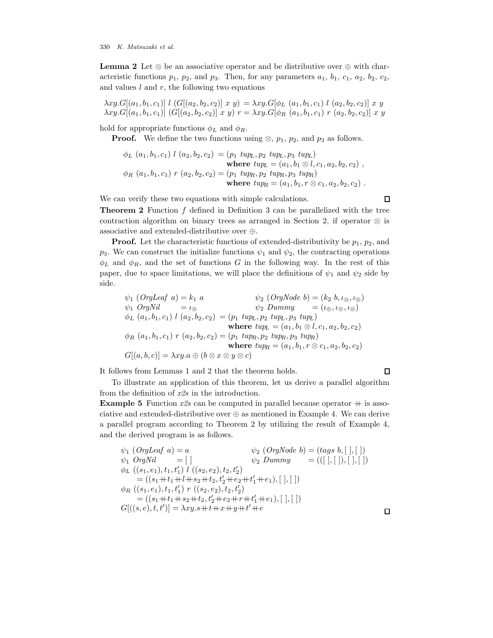**Lemma 2** Let  $\otimes$  be an associative operator and be distributive over  $\oplus$  with characteristic functions  $p_1$ ,  $p_2$ , and  $p_3$ . Then, for any parameters  $a_1$ ,  $b_1$ ,  $c_1$ ,  $a_2$ ,  $b_2$ ,  $c_2$ , and values  $l$  and  $r$ , the following two equations

$$
\lambda xy.G[(a_1, b_1, c_1)] \ l \ (G[(a_2, b_2, c_2)] \ x \ y) = \lambda xy.G[\phi_L \ (a_1, b_1, c_1) \ l \ (a_2, b_2, c_2)] \ x \ y
$$
  

$$
\lambda xy.G[(a_1, b_1, c_1)] \ (G[(a_2, b_2, c_2)] \ x \ y) \ r = \lambda xy.G[\phi_R \ (a_1, b_1, c_1) \ r \ (a_2, b_2, c_2)] \ x \ y
$$

hold for appropriate functions  $\phi_L$  and  $\phi_R$ .

**Proof.** We define the two functions using  $\otimes$ ,  $p_1$ ,  $p_2$ , and  $p_3$  as follows.

$$
\phi_L(a_1, b_1, c_1) l(a_2, b_2, c_2) = (p_1 \; tup_L, p_2 \; tup_L, p_3 \; tup_L)
$$
\nwhere  $tuple_L = (a_1, b_1 \otimes l, c_1, a_2, b_2, c_2)$ ,  
\n
$$
\phi_R(a_1, b_1, c_1) r(a_2, b_2, c_2) = (p_1 \; tup_R, p_2 \; tup_R, p_3 \; tup_R)
$$
\nwhere  $tuple_L = (a_1, b_1, r \otimes c_1, a_2, b_2, c_2)$ .

We can verify these two equations with simple calculations.

 $\Box$ 

Theorem 2 Function f defined in Definition 3 can be parallelized with the tree contraction algorithm on binary trees as arranged in Section 2, if operator  $\otimes$  is associative and extended-distributive over ⊕.

**Proof.** Let the characteristic functions of extended-distributivity be  $p_1$ ,  $p_2$ , and  $p_3$ . We can construct the initialize functions  $\psi_1$  and  $\psi_2$ , the contracting operations  $\phi_L$  and  $\phi_R$ , and the set of functions G in the following way. In the rest of this paper, due to space limitations, we will place the definitions of  $\psi_1$  and  $\psi_2$  side by side.

$$
\psi_1 \text{ (OrgLeaf } a) = k_1 \ a \qquad \psi_2 \text{ (OrgNode } b) = (k_2 \ b, \iota_{\otimes}, \iota_{\otimes}) \n\psi_1 \text{ OrgNil} \qquad = \iota_{\otimes} \qquad \psi_2 \text{ Dummy } \qquad = (\iota_{\oplus}, \iota_{\otimes}, \iota_{\otimes}) \n\phi_L \text{ (a}_1, b_1, c_1) \ l \text{ (a}_2, b_2, c_2) = (p_1 \ \text{tupp}_L, p_2 \ \text{tupp}_L, p_3 \ \text{tupp}_L) \n\text{where } \text{tupp}_L = (a_1, b_1 \otimes l, c_1, a_2, b_2, c_2) \n\phi_R \text{ (a}_1, b_1, c_1) \ r \text{ (a}_2, b_2, c_2) = (p_1 \ \text{tupp}_R, p_2 \ \text{tupp}_R, p_3 \ \text{tupp}_R) \n\text{where } \text{tupp}_R = (a_1, b_1, r \otimes c_1, a_2, b_2, c_2) \nG[(a, b, c)] = \lambda xy. a \oplus (b \otimes x \otimes y \otimes c)
$$

It follows from Lemmas 1 and 2 that the theorem holds.

 $\Box$ 

 $\Box$ 

To illustrate an application of this theorem, let us derive a parallel algorithm from the definition of x2s in the introduction.

**Example 5** Function  $x2s$  can be computed in parallel because operator  $+$  is associative and extended-distributive over  $\oplus$  as mentioned in Example 4. We can derive a parallel program according to Theorem 2 by utilizing the result of Example 4, and the derived program is as follows.

$$
\psi_1 \text{ (OrgLeaf a)} = a \qquad \psi_2 \text{ (OrgNode b)} = (tags b, [ ], [ ] )
$$
\n
$$
\psi_1 \text{ OrgNil} = [] \qquad \psi_2 \text{ Dummy} = (([ ], [ ], [ ], [ ] )
$$
\n
$$
\phi_L \text{ ((s_1, e_1), t_1, t'_1) l ((s_2, e_2), t_2, t'_2)}
$$
\n
$$
= ((s_1 + t_1 + l_1 + s_2 + t_2, t'_2 + e_2 + t'_1 + e_1), [ ], [ ] )
$$
\n
$$
\phi_R \text{ ((s_1, e_1), t_1, t'_1) r ((s_2, e_2), t_2, t'_2)}
$$
\n
$$
= ((s_1 + t_1 + s_2 + t_2, t'_2 + e_2 + r + t'_1 + e_1), [ ], [ ] )
$$
\n
$$
G[((s, e), t, t')] = \lambda xy \cdot s + t + x + y + t' + e
$$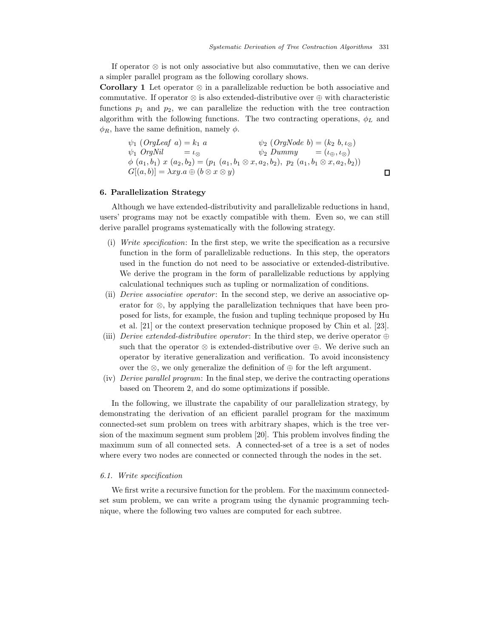$\Box$ 

If operator ⊗ is not only associative but also commutative, then we can derive a simpler parallel program as the following corollary shows.

**Corollary 1** Let operator  $\otimes$  in a parallelizable reduction be both associative and commutative. If operator ⊗ is also extended-distributive over ⊕ with characteristic functions  $p_1$  and  $p_2$ , we can parallelize the reduction with the tree contraction algorithm with the following functions. The two contracting operations,  $\phi_L$  and  $\phi_R$ , have the same definition, namely  $\phi$ .

 $\psi_1$  (OrgLeaf a) =  $k_1$  a  $\psi_2$  (OrgNode b) =  $(k_2, b, l_{\otimes})$  $\psi_1 \; OrgNil \; \qquad = \iota_{\otimes} \; \qquad \qquad \psi_2 \; Dummy \; \qquad = (\iota_{\oplus}, \iota_{\otimes})$  $\phi (a_1, b_1) x (a_2, b_2) = (p_1 (a_1, b_1 \otimes x, a_2, b_2), p_2 (a_1, b_1 \otimes x, a_2, b_2))$  $G[(a, b)] = \lambda xy.a \oplus (b \otimes x \otimes y)$ 

# 6. Parallelization Strategy

Although we have extended-distributivity and parallelizable reductions in hand, users' programs may not be exactly compatible with them. Even so, we can still derive parallel programs systematically with the following strategy.

- (i) Write specification: In the first step, we write the specification as a recursive function in the form of parallelizable reductions. In this step, the operators used in the function do not need to be associative or extended-distributive. We derive the program in the form of parallelizable reductions by applying calculational techniques such as tupling or normalization of conditions.
- (ii) *Derive associative operator*: In the second step, we derive an associative operator for ⊗, by applying the parallelization techniques that have been proposed for lists, for example, the fusion and tupling technique proposed by Hu et al. [21] or the context preservation technique proposed by Chin et al. [23].
- (iii) Derive extended-distributive operator: In the third step, we derive operator  $\oplus$ such that the operator  $\otimes$  is extended-distributive over  $\oplus$ . We derive such an operator by iterative generalization and verification. To avoid inconsistency over the ⊗, we only generalize the definition of  $\oplus$  for the left argument.
- (iv) Derive parallel program: In the final step, we derive the contracting operations based on Theorem 2, and do some optimizations if possible.

In the following, we illustrate the capability of our parallelization strategy, by demonstrating the derivation of an efficient parallel program for the maximum connected-set sum problem on trees with arbitrary shapes, which is the tree version of the maximum segment sum problem [20]. This problem involves finding the maximum sum of all connected sets. A connected-set of a tree is a set of nodes where every two nodes are connected or connected through the nodes in the set.

### 6.1. Write specification

We first write a recursive function for the problem. For the maximum connectedset sum problem, we can write a program using the dynamic programming technique, where the following two values are computed for each subtree.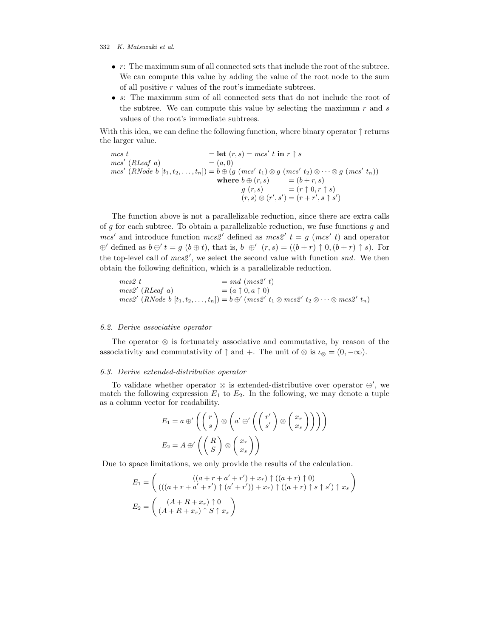- $\bullet$  r: The maximum sum of all connected sets that include the root of the subtree. We can compute this value by adding the value of the root node to the sum of all positive  $r$  values of the root's immediate subtrees.
- s: The maximum sum of all connected sets that do not include the root of the subtree. We can compute this value by selecting the maximum  $r$  and  $s$ values of the root's immediate subtrees.

With this idea, we can define the following function, where binary operator  $\uparrow$  returns the larger value.

 $\mathit{mcs}\;t = \textbf{let}\; (r,s) = \mathit{mcs}'\;t\;\textbf{in}\;r\uparrow s$  $mcs'$  (*RLeaf a*)  $=(a,0)$  $mes' (RNode b [t<sub>1</sub>, t<sub>2</sub>,..., t<sub>n</sub>]) = b \oplus (g (mes' t<sub>1</sub>) \otimes g (mes' t<sub>2</sub>) \otimes \cdots \otimes g (mes' t<sub>n</sub>))$ where  $b \oplus (r, s)$  =  $(b+r, s)$  $g(r,s) = (r \uparrow 0, r \uparrow s)$  $(r, s) \otimes (r', s') = (r + r', s \uparrow s')$ 

The function above is not a parallelizable reduction, since there are extra calls of g for each subtree. To obtain a parallelizable reduction, we fuse functions  $g$  and  $mcs'$  and introduce function  $mcs2'$  defined as  $mcs2'$   $t = g$  ( $mcs'$  t) and operator  $\oplus'$  defined as  $b \oplus' t = g$   $(b \oplus t)$ , that is,  $b \oplus' (r, s) = ((b + r) \uparrow 0, (b + r) \uparrow s)$ . For the top-level call of  $mcs2'$ , we select the second value with function snd. We then obtain the following definition, which is a parallelizable reduction.

$$
mes2 t = sad (mcs2' t)
$$
  
\n
$$
mcs2' (RLeaf a) = (a \uparrow 0, a \uparrow 0)
$$
  
\n
$$
mcs2' (RNode b [t1, t2,..., tn]) = b \oplus' (mcs2' t1 \otimes mcs2' t2 \otimes \cdots \otimes mcs2' tn)
$$

### 6.2. Derive associative operator

The operator ⊗ is fortunately associative and commutative, by reason of the associativity and commutativity of  $\uparrow$  and +. The unit of  $\otimes$  is  $\iota_{\otimes} = (0, -\infty)$ .

# 6.3. Derive extended-distributive operator

To validate whether operator ⊗ is extended-distributive over operator ⊕′ , we match the following expression  $E_1$  to  $E_2$ . In the following, we may denote a tuple as a column vector for readability.

$$
E_1 = a \oplus' \left( \binom{r}{s} \otimes \left( a' \oplus' \left( \binom{r'}{s'} \otimes \binom{x_r}{x_s} \right) \right) \right)
$$

$$
E_2 = A \oplus' \left( \binom{R}{S} \otimes \binom{x_r}{x_s} \right)
$$

Due to space limitations, we only provide the results of the calculation.

$$
E_1 = \begin{pmatrix} ((a+r+a'+r')+x_r) \uparrow ((a+r) \uparrow 0) \\ ((a+r+a'+r') \uparrow (a'+r')) + x_r) \uparrow ((a+r) \uparrow s \uparrow s') \uparrow x_s \end{pmatrix}
$$

$$
E_2 = \begin{pmatrix} (A+R+x_r) \uparrow 0 \\ (A+R+x_r) \uparrow S \uparrow x_s \end{pmatrix}
$$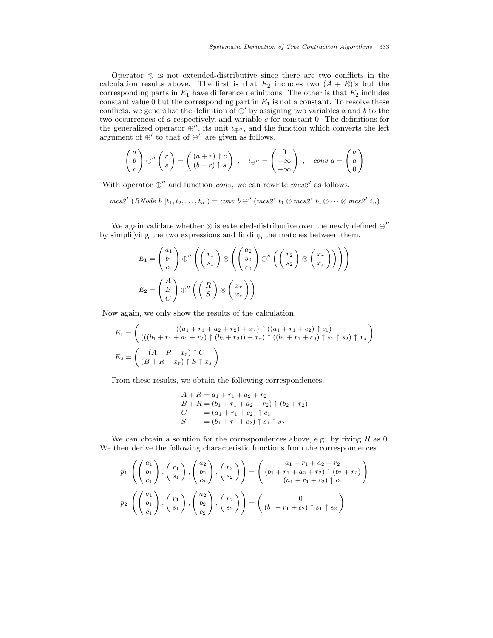Operator ⊗ is not extended-distributive since there are two conflicts in the calculation results above. The first is that  $E_2$  includes two  $(A + R)$ 's but the corresponding parts in  $E_1$  have difference definitions. The other is that  $E_2$  includes constant value 0 but the corresponding part in  $E_1$  is not a constant. To resolve these conflicts, we generalize the definition of  $\oplus'$  by assigning two variables a and b to the two occurrences of  $a$  respectively, and variable  $c$  for constant 0. The definitions for the generalized operator  $\oplus''$ , its unit  $\iota_{\oplus''}$ , and the function which converts the left argument of  $\oplus'$  to that of  $\oplus''$  are given as follows.

$$
\begin{pmatrix} a \\ b \\ c \end{pmatrix} \oplus'' \begin{pmatrix} r \\ s \end{pmatrix} = \begin{pmatrix} (a+r) \uparrow c \\ (b+r) \uparrow s \end{pmatrix} , \quad \iota_{\oplus''} = \begin{pmatrix} 0 \\ -\infty \\ -\infty \end{pmatrix} , \quad conv \ a = \begin{pmatrix} a \\ a \\ 0 \end{pmatrix}
$$

With operator  $\oplus$ <sup>"</sup> and function *conv*, we can rewrite  $mcs2'$  as follows.

 $mcs2' (RNode b [t<sub>1</sub>, t<sub>2</sub>,..., t<sub>n</sub>]) = conv b \oplus'' (mcs2' t<sub>1</sub> \otimes mcs2' t<sub>2</sub> \otimes \cdots \otimes mcs2' t<sub>n</sub>)$ 

We again validate whether  $\otimes$  is extended-distributive over the newly defined  $\oplus''$ by simplifying the two expressions and finding the matches between them.

$$
E_1 = \begin{pmatrix} a_1 \\ b_1 \\ c_1 \end{pmatrix} \oplus'' \left( \begin{pmatrix} r_1 \\ s_1 \end{pmatrix} \otimes \left( \begin{pmatrix} a_2 \\ b_2 \\ c_2 \end{pmatrix} \oplus'' \left( \begin{pmatrix} r_2 \\ s_2 \end{pmatrix} \otimes \begin{pmatrix} x_r \\ x_s \end{pmatrix} \right) \right) \right)
$$
  

$$
E_2 = \begin{pmatrix} A \\ B \\ C \end{pmatrix} \oplus'' \left( \begin{pmatrix} R \\ S \end{pmatrix} \otimes \begin{pmatrix} x_r \\ x_s \end{pmatrix} \right)
$$

Now again, we only show the results of the calculation.

$$
E_1 = \left( \begin{array}{c} ((a_1 + r_1 + a_2 + r_2) + x_r) \uparrow ((a_1 + r_1 + c_2) \uparrow c_1) \\ ((b_1 + r_1 + a_2 + r_2) \uparrow (b_2 + r_2)) + x_r) \uparrow ((b_1 + r_1 + c_2) \uparrow s_1 \uparrow s_2) \uparrow x_s \end{array} \right)
$$
  
\n
$$
E_2 = \left( \begin{array}{c} (A + R + x_r) \uparrow C \\ (B + R + x_r) \uparrow S \uparrow x_s \end{array} \right)
$$

From these results, we obtain the following correspondences.

$$
A + R = a_1 + r_1 + a_2 + r_2
$$
  
\n
$$
B + R = (b_1 + r_1 + a_2 + r_2) \uparrow (b_2 + r_2)
$$
  
\n
$$
C = (a_1 + r_1 + c_2) \uparrow c_1
$$
  
\n
$$
S = (b_1 + r_1 + c_2) \uparrow s_1 \uparrow s_2
$$

We can obtain a solution for the correspondences above, e.g. by fixing  $R$  as 0. We then derive the following characteristic functions from the correspondences.

$$
p_1\left(\begin{pmatrix} a_1 \\ b_1 \\ c_1 \end{pmatrix}, \begin{pmatrix} r_1 \\ s_1 \end{pmatrix}, \begin{pmatrix} a_2 \\ b_2 \\ c_2 \end{pmatrix}, \begin{pmatrix} r_2 \\ s_2 \end{pmatrix} \right) = \begin{pmatrix} a_1 + r_1 + a_2 + r_2 \\ (b_1 + r_1 + a_2 + r_2) \uparrow (b_2 + r_2) \\ (a_1 + r_1 + c_2) \uparrow c_1 \end{pmatrix}
$$

$$
p_2\left(\begin{pmatrix} a_1 \\ b_1 \\ c_1 \end{pmatrix}, \begin{pmatrix} r_1 \\ s_1 \end{pmatrix}, \begin{pmatrix} a_2 \\ b_2 \\ c_2 \end{pmatrix}, \begin{pmatrix} r_2 \\ s_2 \end{pmatrix} \right) = \begin{pmatrix} 0 \\ (b_1 + r_1 + c_2) \uparrow s_1 \uparrow s_2 \end{pmatrix}
$$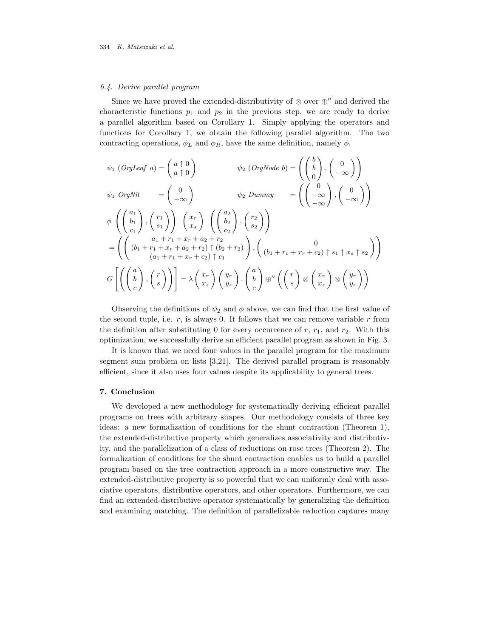### 6.4. Derive parallel program

Since we have proved the extended-distributivity of  $\otimes$  over  $\oplus$ <sup>"</sup> and derived the characteristic functions  $p_1$  and  $p_2$  in the previous step, we are ready to derive a parallel algorithm based on Corollary 1. Simply applying the operators and functions for Corollary 1, we obtain the following parallel algorithm. The two contracting operations,  $\phi_L$  and  $\phi_R$ , have the same definition, namely  $\phi$ .

$$
\psi_1 \text{ (OrgLeaf a)} = \begin{pmatrix} a \uparrow 0 \\ a \uparrow 0 \end{pmatrix} \qquad \psi_2 \text{ (OrgNode b)} = \begin{pmatrix} b \\ b \\ 0 \end{pmatrix}, \begin{pmatrix} 0 \\ -\infty \end{pmatrix}
$$
  

$$
\psi_1 \text{ OrgNil} = \begin{pmatrix} 0 \\ -\infty \end{pmatrix} \qquad \psi_2 \text{ Dummy} = \begin{pmatrix} 0 \\ -\infty \end{pmatrix}, \begin{pmatrix} 0 \\ -\infty \end{pmatrix}
$$
  

$$
\phi \left( \begin{pmatrix} a_1 \\ b_1 \\ c_1 \end{pmatrix}, \begin{pmatrix} r_1 \\ s_1 \end{pmatrix} \right) \begin{pmatrix} x_r \\ x_s \end{pmatrix} \begin{pmatrix} a_2 \\ b_2 \\ c_2 \end{pmatrix}, \begin{pmatrix} r_2 \\ s_2 \end{pmatrix} \end{pmatrix}
$$
  

$$
= \left( \begin{pmatrix} a_1 + r_1 + x_r + a_2 + r_2 \\ (b_1 + r_1 + x_r + a_2 + r_2) \uparrow (b_2 + r_2) \uparrow (b_1 + r_1 + x_r + c_2) \uparrow s_1 \uparrow x_s \uparrow s_2 \end{pmatrix} \right)
$$
  

$$
G \left[ \begin{pmatrix} a \\ b \\ c \end{pmatrix}, \begin{pmatrix} r \\ s \end{pmatrix} \right] = \lambda \begin{pmatrix} x_r \\ x_s \end{pmatrix} \begin{pmatrix} y_r \\ y_s \end{pmatrix} \cdot \begin{pmatrix} a \\ b \\ c \end{pmatrix} \oplus'' \begin{pmatrix} r \\ s \end{pmatrix} \otimes \begin{pmatrix} x_r \\ x_s \end{pmatrix} \otimes \begin{pmatrix} y_r \\ y_s \end{pmatrix} \right)
$$

Observing the definitions of  $\psi_2$  and  $\phi$  above, we can find that the first value of the second tuple, i.e.  $r$ , is always 0. It follows that we can remove variable  $r$  from the definition after substituting 0 for every occurrence of  $r$ ,  $r_1$ , and  $r_2$ . With this optimization, we successfully derive an efficient parallel program as shown in Fig. 3.

It is known that we need four values in the parallel program for the maximum segment sum problem on lists [3,21]. The derived parallel program is reasonably efficient, since it also uses four values despite its applicability to general trees.

# 7. Conclusion

We developed a new methodology for systematically deriving efficient parallel programs on trees with arbitrary shapes. Our methodology consists of three key ideas: a new formalization of conditions for the shunt contraction (Theorem 1), the extended-distributive property which generalizes associativity and distributivity, and the parallelization of a class of reductions on rose trees (Theorem 2). The formalization of conditions for the shunt contraction enables us to build a parallel program based on the tree contraction approach in a more constructive way. The extended-distributive property is so powerful that we can uniformly deal with associative operators, distributive operators, and other operators. Furthermore, we can find an extended-distributive operator systematically by generalizing the definition and examining matching. The definition of parallelizable reduction captures many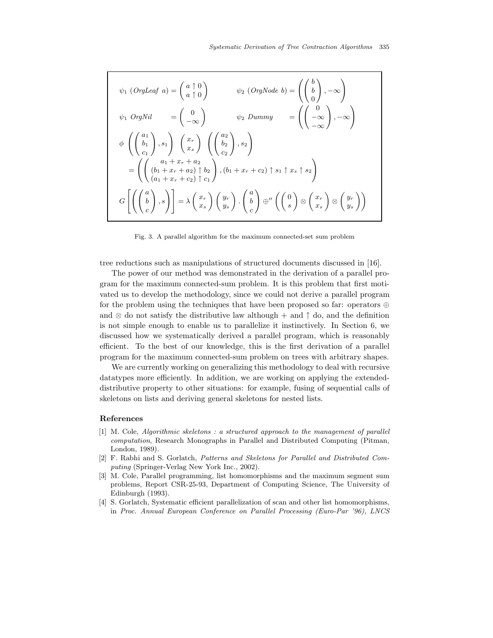$$
\psi_1 \text{ (OrgLeaf a)} = \begin{pmatrix} a \uparrow 0 \\ a \uparrow 0 \end{pmatrix} \qquad \psi_2 \text{ (OrgNode b)} = \begin{pmatrix} b \\ b \\ 0 \end{pmatrix}, -\infty
$$
\n
$$
\psi_1 \text{ OrgNil} = \begin{pmatrix} 0 \\ -\infty \end{pmatrix} \qquad \psi_2 \text{ Dummy} = \begin{pmatrix} 0 \\ -\infty \\ -\infty \end{pmatrix}, -\infty
$$
\n
$$
\phi \left( \begin{pmatrix} a_1 \\ b_1 \\ c_1 \end{pmatrix}, s_1 \right) \begin{pmatrix} x_r \\ x_s \end{pmatrix} \begin{pmatrix} a_2 \\ b_2 \\ c_2 \end{pmatrix}, s_2 \right)
$$
\n
$$
= \begin{pmatrix} a_1 + x_r + a_2 \\ (b_1 + x_r + a_2) \uparrow b_2 \\ (a_1 + x_r + c_2) \uparrow c_1 \end{pmatrix}, (b_1 + x_r + c_2) \uparrow s_1 \uparrow x_s \uparrow s_2
$$
\n
$$
G \left[ \begin{pmatrix} a \\ b \\ c \end{pmatrix}, s \right] = \lambda \begin{pmatrix} x_r \\ x_s \end{pmatrix} \begin{pmatrix} y_r \\ y_s \end{pmatrix} \cdot \begin{pmatrix} a \\ b \\ c \end{pmatrix} \oplus \begin{pmatrix} x_r \\ s \end{pmatrix} \otimes \begin{pmatrix} x_r \\ x_s \end{pmatrix} \otimes \begin{pmatrix} y_r \\ y_s \end{pmatrix} \end{pmatrix}
$$

Fig. 3. A parallel algorithm for the maximum connected-set sum problem

tree reductions such as manipulations of structured documents discussed in [16].

The power of our method was demonstrated in the derivation of a parallel program for the maximum connected-sum problem. It is this problem that first motivated us to develop the methodology, since we could not derive a parallel program for the problem using the techniques that have been proposed so far: operators ⊕ and  $\otimes$  do not satisfy the distributive law although + and  $\uparrow$  do, and the definition is not simple enough to enable us to parallelize it instinctively. In Section 6, we discussed how we systematically derived a parallel program, which is reasonably efficient. To the best of our knowledge, this is the first derivation of a parallel program for the maximum connected-sum problem on trees with arbitrary shapes.

We are currently working on generalizing this methodology to deal with recursive datatypes more efficiently. In addition, we are working on applying the extendeddistributive property to other situations: for example, fusing of sequential calls of skeletons on lists and deriving general skeletons for nested lists.

# References

- [1] M. Cole, Algorithmic skeletons : a structured approach to the management of parallel computation, Research Monographs in Parallel and Distributed Computing (Pitman, London, 1989).
- [2] F. Rabhi and S. Gorlatch, Patterns and Skeletons for Parallel and Distributed Computing (Springer-Verlag New York Inc., 2002).
- [3] M. Cole, Parallel programming, list homomorphisms and the maximum segment sum problems, Report CSR-25-93, Department of Computing Science, The University of Edinburgh (1993).
- [4] S. Gorlatch, Systematic efficient parallelization of scan and other list homomorphisms, in Proc. Annual European Conference on Parallel Processing (Euro-Par '96), LNCS